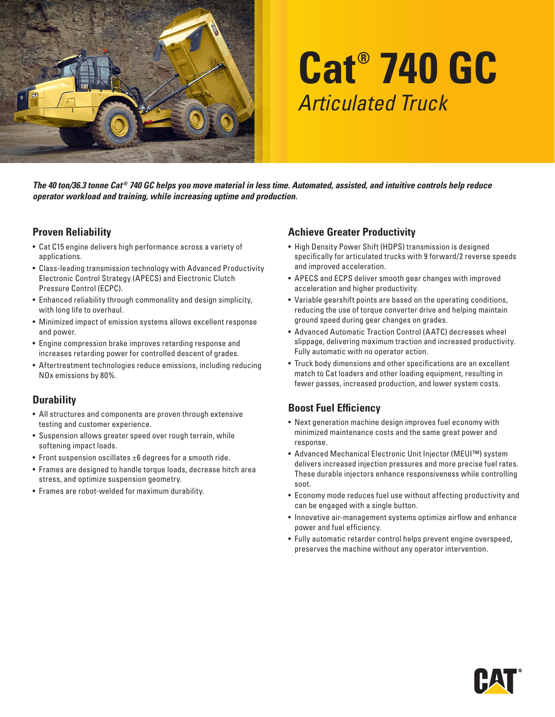

# **Cat® 740 GC** *Articulated Truck*

The 40 ton/36.3 tonne Cat<sup>®</sup> 740 GC helps you move material in less time. Automated, assisted, and intuitive controls help reduce *operator workload and training, while increasing uptime and production.*

#### **Proven Reliability**

- Cat C15 engine delivers high performance across a variety of applications.
- Class-leading transmission technology with Advanced Productivity Electronic Control Strategy (APECS) and Electronic Clutch Pressure Control (ECPC).
- Enhanced reliability through commonality and design simplicity, with long life to overhaul.
- Minimized impact of emission systems allows excellent response and power.
- Engine compression brake improves retarding response and increases retarding power for controlled descent of grades.
- Aftertreatment technologies reduce emissions, including reducing NOx emissions by 80%.

### **Durability**

- All structures and components are proven through extensive testing and customer experience.
- Suspension allows greater speed over rough terrain, while softening impact loads.
- Front suspension oscillates ±6 degrees for a smooth ride.
- Frames are designed to handle torque loads, decrease hitch area stress, and optimize suspension geometry.
- Frames are robot-welded for maximum durability.

#### **Achieve Greater Productivity**

- High Density Power Shift (HDPS) transmission is designed specifically for articulated trucks with 9 forward/2 reverse speeds and improved acceleration.
- APECS and ECPS deliver smooth gear changes with improved acceleration and higher productivity.
- Variable gearshift points are based on the operating conditions, reducing the use of torque converter drive and helping maintain ground speed during gear changes on grades.
- Advanced Automatic Traction Control (AATC) decreases wheel slippage, delivering maximum traction and increased productivity. Fully automatic with no operator action.
- Truck body dimensions and other specifications are an excellent match to Cat loaders and other loading equipment, resulting in fewer passes, increased production, and lower system costs.

### **Boost Fuel Efficiency**

- Next generation machine design improves fuel economy with minimized maintenance costs and the same great power and response.
- Advanced Mechanical Electronic Unit Injector (MEUI™) system delivers increased injection pressures and more precise fuel rates. These durable injectors enhance responsiveness while controlling soot.
- Economy mode reduces fuel use without affecting productivity and can be engaged with a single button.
- Innovative air-management systems optimize airflow and enhance power and fuel efficiency.
- Fully automatic retarder control helps prevent engine overspeed, preserves the machine without any operator intervention.

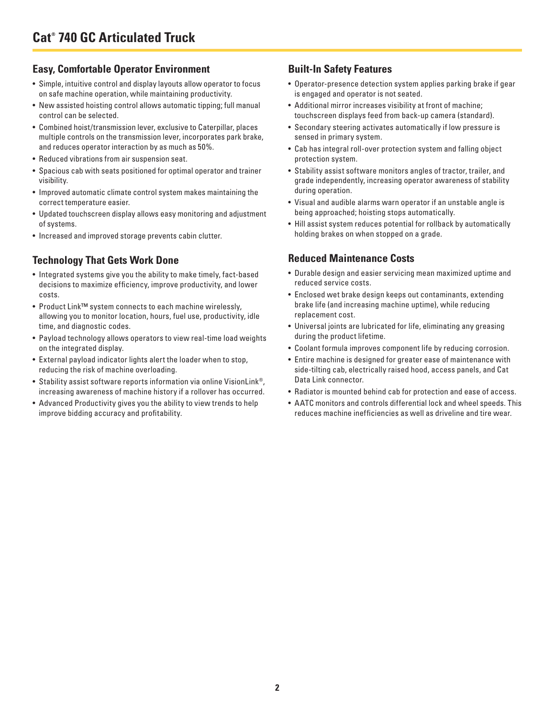#### **Easy, Comfortable Operator Environment**

- Simple, intuitive control and display layouts allow operator to focus on safe machine operation, while maintaining productivity.
- New assisted hoisting control allows automatic tipping; full manual control can be selected.
- Combined hoist/transmission lever, exclusive to Caterpillar, places multiple controls on the transmission lever, incorporates park brake, and reduces operator interaction by as much as 50%.
- Reduced vibrations from air suspension seat.
- Spacious cab with seats positioned for optimal operator and trainer visibility.
- Improved automatic climate control system makes maintaining the correct temperature easier.
- Updated touchscreen display allows easy monitoring and adjustment of systems.
- Increased and improved storage prevents cabin clutter.

## **Technology That Gets Work Done**

- Integrated systems give you the ability to make timely, fact-based decisions to maximize efficiency, improve productivity, and lower costs.
- Product Link™ system connects to each machine wirelessly, allowing you to monitor location, hours, fuel use, productivity, idle time, and diagnostic codes.
- Payload technology allows operators to view real-time load weights on the integrated display.
- External payload indicator lights alert the loader when to stop, reducing the risk of machine overloading.
- Stability assist software reports information via online VisionLink®, increasing awareness of machine history if a rollover has occurred.
- Advanced Productivity gives you the ability to view trends to help improve bidding accuracy and profitability.

#### **Built-In Safety Features**

- Operator-presence detection system applies parking brake if gear is engaged and operator is not seated.
- Additional mirror increases visibility at front of machine; touchscreen displays feed from back-up camera (standard).
- Secondary steering activates automatically if low pressure is sensed in primary system.
- Cab has integral roll-over protection system and falling object protection system.
- Stability assist software monitors angles of tractor, trailer, and grade independently, increasing operator awareness of stability during operation.
- Visual and audible alarms warn operator if an unstable angle is being approached; hoisting stops automatically.
- Hill assist system reduces potential for rollback by automatically holding brakes on when stopped on a grade.

#### **Reduced Maintenance Costs**

- Durable design and easier servicing mean maximized uptime and reduced service costs.
- Enclosed wet brake design keeps out contaminants, extending brake life (and increasing machine uptime), while reducing replacement cost.
- Universal joints are lubricated for life, eliminating any greasing during the product lifetime.
- Coolant formula improves component life by reducing corrosion.
- Entire machine is designed for greater ease of maintenance with side-tilting cab, electrically raised hood, access panels, and Cat Data Link connector.
- Radiator is mounted behind cab for protection and ease of access.
- AATC monitors and controls differential lock and wheel speeds. This reduces machine inefficiencies as well as driveline and tire wear.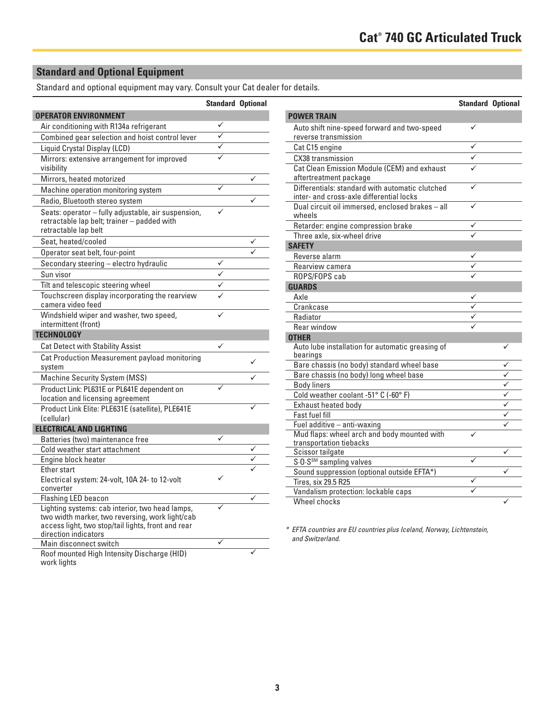## **Standard and Optional Equipment**

Standard and optional equipment may vary. Consult your Cat dealer for details.

|                                                                                                                            | <b>Standard Optional</b> |   |
|----------------------------------------------------------------------------------------------------------------------------|--------------------------|---|
| <b>OPERATOR ENVIRONMENT</b>                                                                                                |                          |   |
| Air conditioning with R134a refrigerant                                                                                    | ✓                        |   |
| Combined gear selection and hoist control lever                                                                            |                          |   |
| Liquid Crystal Display (LCD)                                                                                               |                          |   |
| Mirrors: extensive arrangement for improved<br>visibility                                                                  |                          |   |
| Mirrors, heated motorized                                                                                                  |                          | ✓ |
|                                                                                                                            |                          |   |
| Machine operation monitoring system                                                                                        |                          | ✓ |
| Radio, Bluetooth stereo system                                                                                             |                          |   |
| Seats: operator - fully adjustable, air suspension,<br>retractable lap belt; trainer - padded with<br>retractable lap belt |                          |   |
| Seat, heated/cooled                                                                                                        |                          |   |
| Operator seat belt, four-point                                                                                             |                          |   |
| Secondary steering - electro hydraulic                                                                                     |                          |   |
| Sun visor                                                                                                                  |                          |   |
| Tilt and telescopic steering wheel                                                                                         |                          |   |
| Touchscreen display incorporating the rearview<br>camera video feed                                                        |                          |   |
| Windshield wiper and washer, two speed,<br>intermittent (front)                                                            |                          |   |
| <b>TECHNOLOGY</b>                                                                                                          |                          |   |
| <b>Cat Detect with Stability Assist</b>                                                                                    |                          |   |
| Cat Production Measurement payload monitoring<br>system                                                                    |                          | ✓ |
| <b>Machine Security System (MSS)</b>                                                                                       |                          |   |
| Product Link: PL631E or PL641E dependent on                                                                                | ✓                        |   |
| location and licensing agreement                                                                                           |                          |   |
| Product Link Elite: PLE631E (satellite), PLE641E                                                                           |                          |   |
| (cellular)                                                                                                                 |                          |   |
| <b>ELECTRICAL AND LIGHTING</b>                                                                                             |                          |   |
| Batteries (two) maintenance free                                                                                           | ✓                        |   |
| Cold weather start attachment                                                                                              |                          |   |
| Engine block heater                                                                                                        |                          |   |
| Ether start                                                                                                                |                          |   |
| Electrical system: 24-volt, 10A 24- to 12-volt<br>converter                                                                |                          |   |
| <b>Flashing LED beacon</b>                                                                                                 |                          |   |
| Lighting systems: cab interior, two head lamps,                                                                            |                          |   |
| two width marker, two reversing, work light/cab                                                                            |                          |   |
| access light, two stop/tail lights, front and rear                                                                         |                          |   |
| direction indicators                                                                                                       | ✓                        |   |
| Main disconnect switch                                                                                                     |                          |   |
| Roof mounted High Intensity Discharge (HID)<br>work lights                                                                 |                          |   |

|                                                                                             | <b>Standard Optional</b> |              |
|---------------------------------------------------------------------------------------------|--------------------------|--------------|
| <b>POWER TRAIN</b>                                                                          |                          |              |
| Auto shift nine-speed forward and two-speed<br>reverse transmission                         | ✓                        |              |
| Cat C15 engine                                                                              | $\checkmark$             |              |
| CX38 transmission                                                                           |                          |              |
| Cat Clean Emission Module (CEM) and exhaust                                                 |                          |              |
| aftertreatment package                                                                      |                          |              |
| Differentials: standard with automatic clutched<br>inter- and cross-axle differential locks | ✓                        |              |
| Dual circuit oil immersed, enclosed brakes - all<br>wheels                                  |                          |              |
| Retarder: engine compression brake                                                          |                          |              |
| Three axle, six-wheel drive                                                                 |                          |              |
| <b>SAFETY</b>                                                                               |                          |              |
| Reverse alarm                                                                               |                          |              |
| Rearview camera                                                                             | $\frac{1}{\sqrt{2}}$     |              |
| ROPS/FOPS cab                                                                               |                          |              |
| <b>GUARDS</b>                                                                               |                          |              |
| Axle                                                                                        |                          |              |
| Crankcase                                                                                   | $\checkmark$             |              |
| Radiator                                                                                    |                          |              |
| Rear window                                                                                 |                          |              |
| <b>OTHER</b>                                                                                |                          |              |
| Auto lube installation for automatic greasing of<br>bearings                                |                          |              |
| Bare chassis (no body) standard wheel base                                                  |                          | ✓            |
| Bare chassis (no body) long wheel base                                                      |                          | ✓            |
| <b>Body liners</b>                                                                          |                          | ✓            |
| Cold weather coolant -51° C (-60° F)                                                        |                          | ✓            |
| Exhaust heated body                                                                         |                          | $\checkmark$ |
| <b>Fast fuel fill</b>                                                                       |                          | ✓            |
| Fuel additive - anti-waxing                                                                 |                          | ✓            |
| Mud flaps: wheel arch and body mounted with                                                 |                          |              |
| transportation tiebacks                                                                     |                          |              |
| Scissor tailgate                                                                            |                          | ✓            |
| S.O.S <sup>SM</sup> sampling valves                                                         | ✓                        |              |
| Sound suppression (optional outside EFTA*)                                                  |                          | $\checkmark$ |
| <b>Tires, six 29.5 R25</b>                                                                  |                          |              |
| Vandalism protection: lockable caps                                                         | ✓                        |              |
| Wheel chocks                                                                                |                          |              |

*\* EFTA countries are EU countries plus Iceland, Norway, Lichtenstein, and Switzerland.*